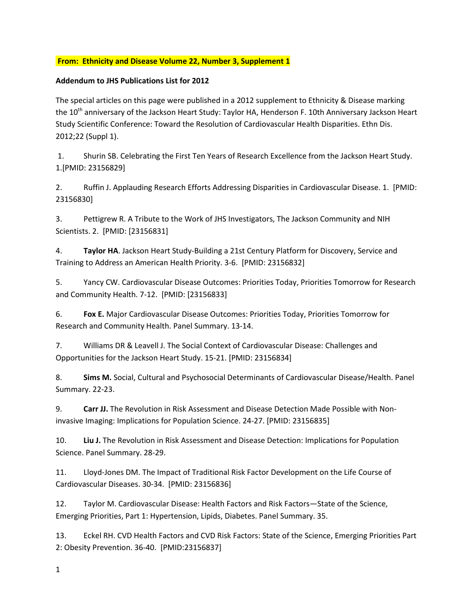## **From: Ethnicity and Disease Volume 22, Number 3, Supplement 1**

## **Addendum to JHS Publications List for 2012**

The special articles on this page were published in a 2012 supplement to Ethnicity & Disease marking the 10<sup>th</sup> anniversary of the Jackson Heart Study: Taylor HA, Henderson F. 10th Anniversary Jackson Heart Study Scientific Conference: Toward the Resolution of Cardiovascular Health Disparities. Ethn Dis. 2012;22 (Suppl 1).

1. Shurin SB. Celebrating the First Ten Years of Research Excellence from the Jackson Heart Study. 1.[PMID: 23156829]

2. Ruffin J. Applauding Research Efforts Addressing Disparities in Cardiovascular Disease. 1. [PMID: 23156830]

3. Pettigrew R. A Tribute to the Work of JHS Investigators, The Jackson Community and NIH Scientists. 2. [PMID: [23156831]

4. **Taylor HA**. Jackson Heart Study-Building a 21st Century Platform for Discovery, Service and Training to Address an American Health Priority. 3-6. [PMID: 23156832]

5. Yancy CW. Cardiovascular Disease Outcomes: Priorities Today, Priorities Tomorrow for Research and Community Health. 7-12. [PMID: [23156833]

6. **Fox E.** Major Cardiovascular Disease Outcomes: Priorities Today, Priorities Tomorrow for Research and Community Health. Panel Summary. 13-14.

7. Williams DR & Leavell J. The Social Context of Cardiovascular Disease: Challenges and Opportunities for the Jackson Heart Study. 15-21. [PMID: 23156834]

8. **Sims M.** Social, Cultural and Psychosocial Determinants of Cardiovascular Disease/Health. Panel Summary. 22-23.

9. **Carr JJ.** The Revolution in Risk Assessment and Disease Detection Made Possible with Noninvasive Imaging: Implications for Population Science. 24-27. [PMID: 23156835]

10. **Liu J.** The Revolution in Risk Assessment and Disease Detection: Implications for Population Science. Panel Summary. 28-29.

11. Lloyd-Jones DM. The Impact of Traditional Risk Factor Development on the Life Course of Cardiovascular Diseases. 30-34. [PMID: 23156836]

12. Taylor M. Cardiovascular Disease: Health Factors and Risk Factors—State of the Science, Emerging Priorities, Part 1: Hypertension, Lipids, Diabetes. Panel Summary. 35.

13. Eckel RH. CVD Health Factors and CVD Risk Factors: State of the Science, Emerging Priorities Part 2: Obesity Prevention. 36-40. [PMID:23156837]

1